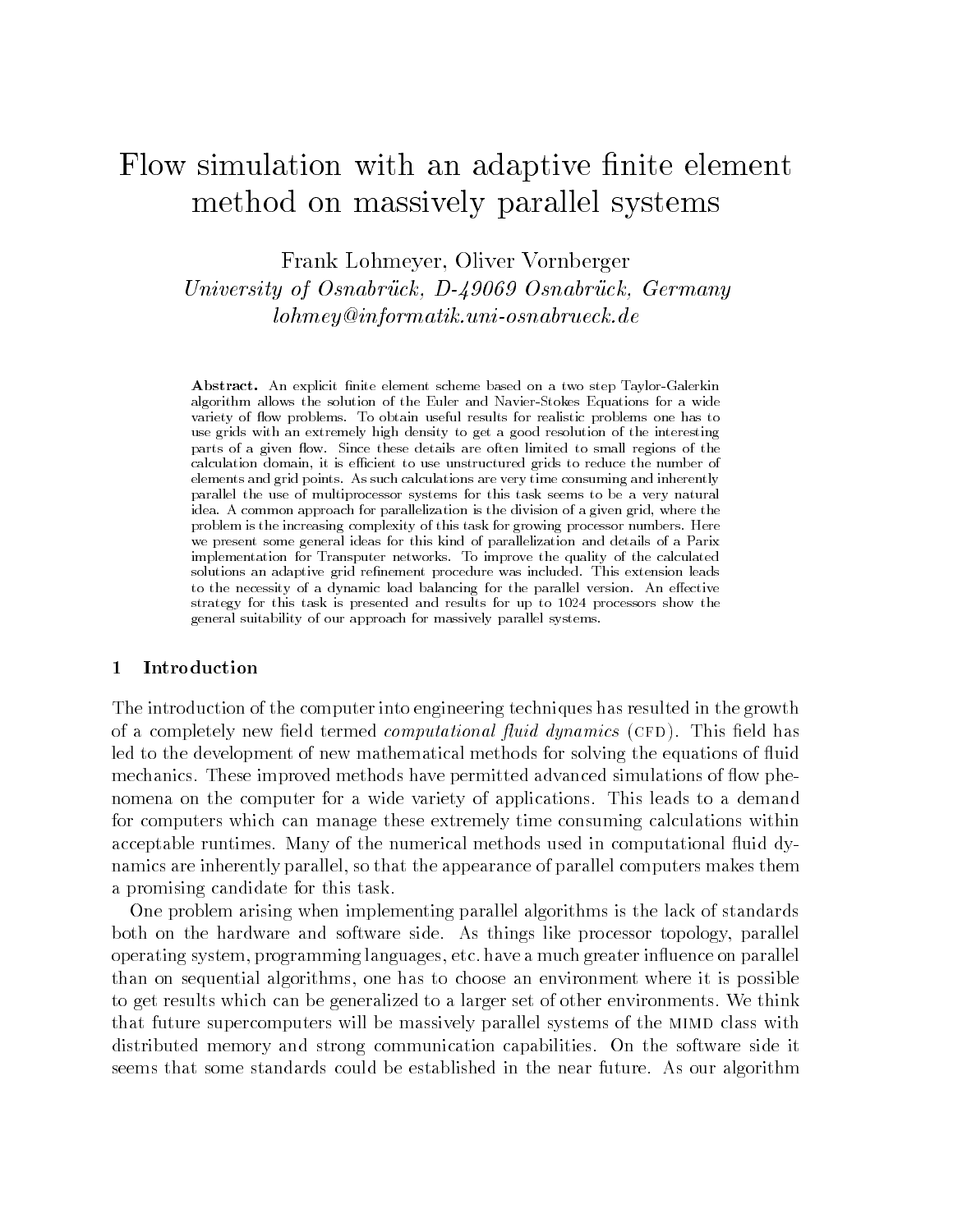# Flow simulation with an adaptive finite element method on massively parallel systems

Frank Lohmeyer, Oliver Vornberger

University of Osnabruck D- Osnabruck Germany

lohmeyinformatikuni-osnabrueckde

Abstract. An explicit finite element scheme based on a two step Taylor-Galerkin algorithm allows the solution of the Euler and Navier-Stokes Equations for a wide variety in 2008 problems To obtain useful realistic problems problems and the top use grids with an extremely high density to get a good resolution of the interesting parts of a given -ow Since these details are often limited to small regions of the calculation domain, it is efficient to use unstructured grids to reduce the number of elements and grid points As such calculations are very time consuming and inherently parallel the use of multiprocessor systems for this task seems to be a very natural idea A common approach for parallelization is the division of a given grid where the problem is the increasing complexity of this task for growing processor numbers Here we present some general ideas for this kind of parallelization and details of a Parix implementation for Transputer networks. To improve the quality of the calculated solutions an adaptive grid refinement procedure was included. This extension leads to the necessity of a dynamic load balancing for the parallel version. An effective strategy for this task is presented and results for up to processors show the general suitability of our approach for massively parallel systems

#### Introduction  $\mathbf{1}$

The introduction of the computer into engineering techniques has resulted in the growth of a completely new field termed *computational fluid dynamics* (CFD). This field has led to the development of new mathematical methods for solving the equations of -uid mechanics These improved methods have permitted advanced simulations of -ow phe nomena on the computer for a wide variety of applications This leads to a demand for computers which can manage these extremely time consuming calculations within acceptable runtimes Many of the numerical methods used in computational -uid dy namics are inherently parallel so that the appearance of parallel computers makes them a promising candidate for this task

One problem arising when implementing parallel algorithms is the lack of standards both on the hardware and software side. As things like processor topology, parallel operating system programming languages etc haveamuch greater in-uence on parallel than on sequential algorithms, one has to choose an environment where it is possible to get results which can be generalized to a larger set of other environments. We think that future supercomputers will be massively parallel systems of the MIMD class with distributed memory and strong communication capabilities On the software side it seems that some standards could be established in the near future. As our algorithm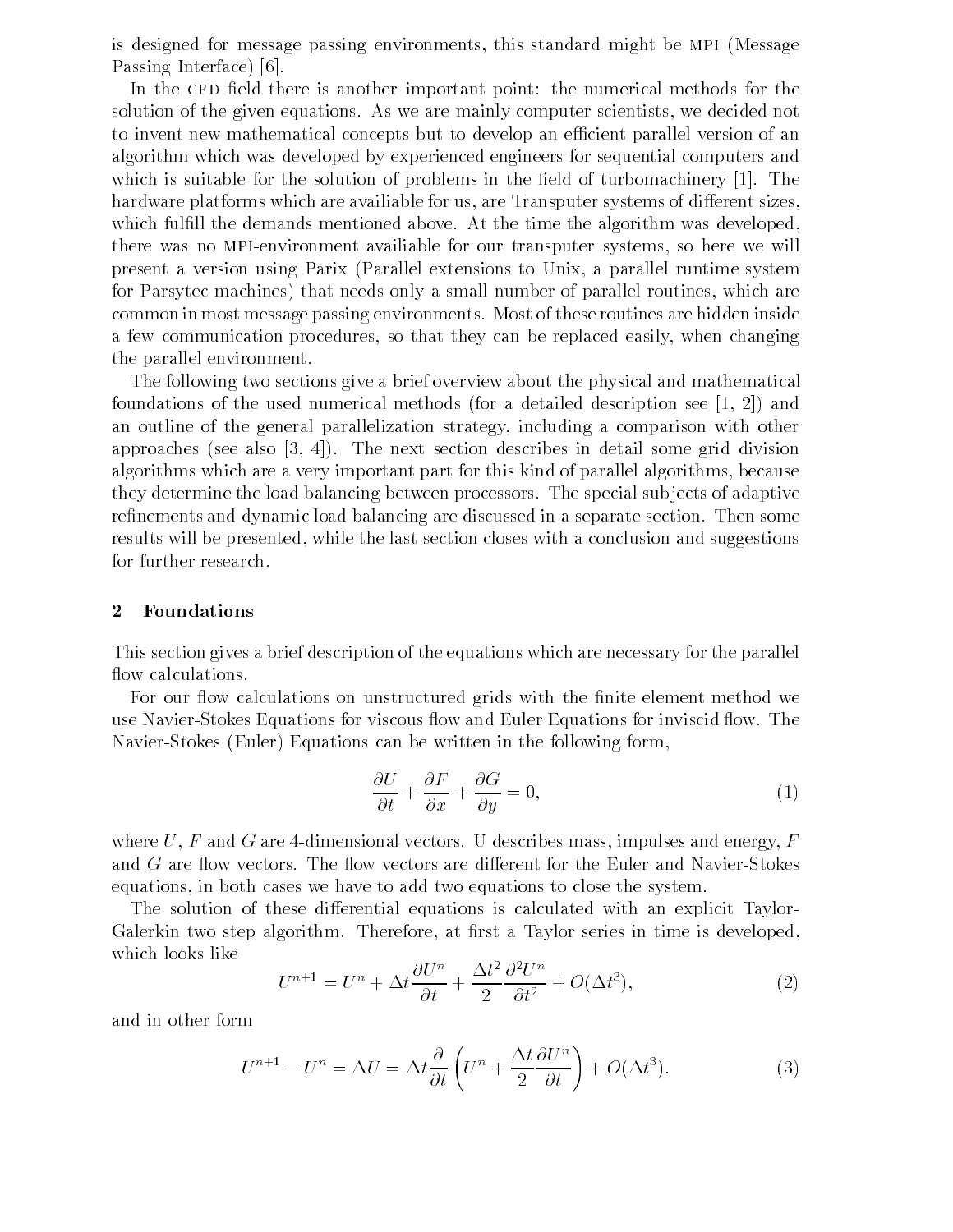is designed for message passing environments this standard might be mpi Message Passing Interface) [6].

In the cfd eld there is another important point the numerical methods for the solution of the given equations. As we are mainly computer scientists, we decided not to invent new mathematical concepts but to develop an efficient parallel version of an algorithm which was developed by experienced engineers for sequential computers and which is suitable for the solution of problems in the field of turbomachinery  $[1]$ . The hardware platforms which are availiable for us, are Transputer systems of different sizes, which fulfill the demands mentioned above. At the time the algorithm was developed, there was no MPI-environment availiable for our transputer systems, so here we will present a version using Parix (Parallel extensions to Unix, a parallel runtime system for Parsytec machines) that needs only a small number of parallel routines, which are common in most message passing environments Most of these routines are hidden inside a few communication procedures, so that they can be replaced easily, when changing the parallel environment

The following two sections give a brief overview about the physical and mathematical foundations of the used numerical methods (for a detailed description see  $[1, 2]$ ) and an outline of the general parallelization strategy, including a comparison with other approaches (see also  $\left( 3, 4 \right)$ ). The next section describes in detail some grid division algorithms which are a very important part for this kind of parallel algorithms, because they determine the load balancing between processors The special sub jects of adaptive refinements and dynamic load balancing are discussed in a separate section. Then some results will be presented, while the last section closes with a conclusion and suggestions for further research

#### $\overline{2}$ Foundations

This section gives a brief description of the equations which are necessary for the parallel

 $F_{\rm eff}$  our our -definitions on unstructured grids with the nite element method with the nite element method we ow a stocked to visit and Euler Equations for viscous and the company of the extra state and the state of the s Navier-Stokes (Euler) Equations can be written in the following form,

$$
\frac{\partial U}{\partial t} + \frac{\partial F}{\partial x} + \frac{\partial G}{\partial y} = 0,\tag{1}
$$

where U, F and G are 4-dimensional vectors. U describes mass, impulses and energy, F and G are - ow vectors The - own the - owners are discussed and NavierStocker and NavierStocker and NavierSto equations in both cases we have to add two equations to close the system

The solution of these differential equations is calculated with an explicit Taylor-Galerkin two step algorithm. Therefore, at first a Taylor series in time is developed, which looks like

$$
U^{n+1} = U^n + \Delta t \frac{\partial U^n}{\partial t} + \frac{\Delta t^2}{2} \frac{\partial^2 U^n}{\partial t^2} + O(\Delta t^3),\tag{2}
$$

and in other form

$$
U^{n+1} - U^n = \Delta U = \Delta t \frac{\partial}{\partial t} \left( U^n + \frac{\Delta t}{2} \frac{\partial U^n}{\partial t} \right) + O(\Delta t^3). \tag{3}
$$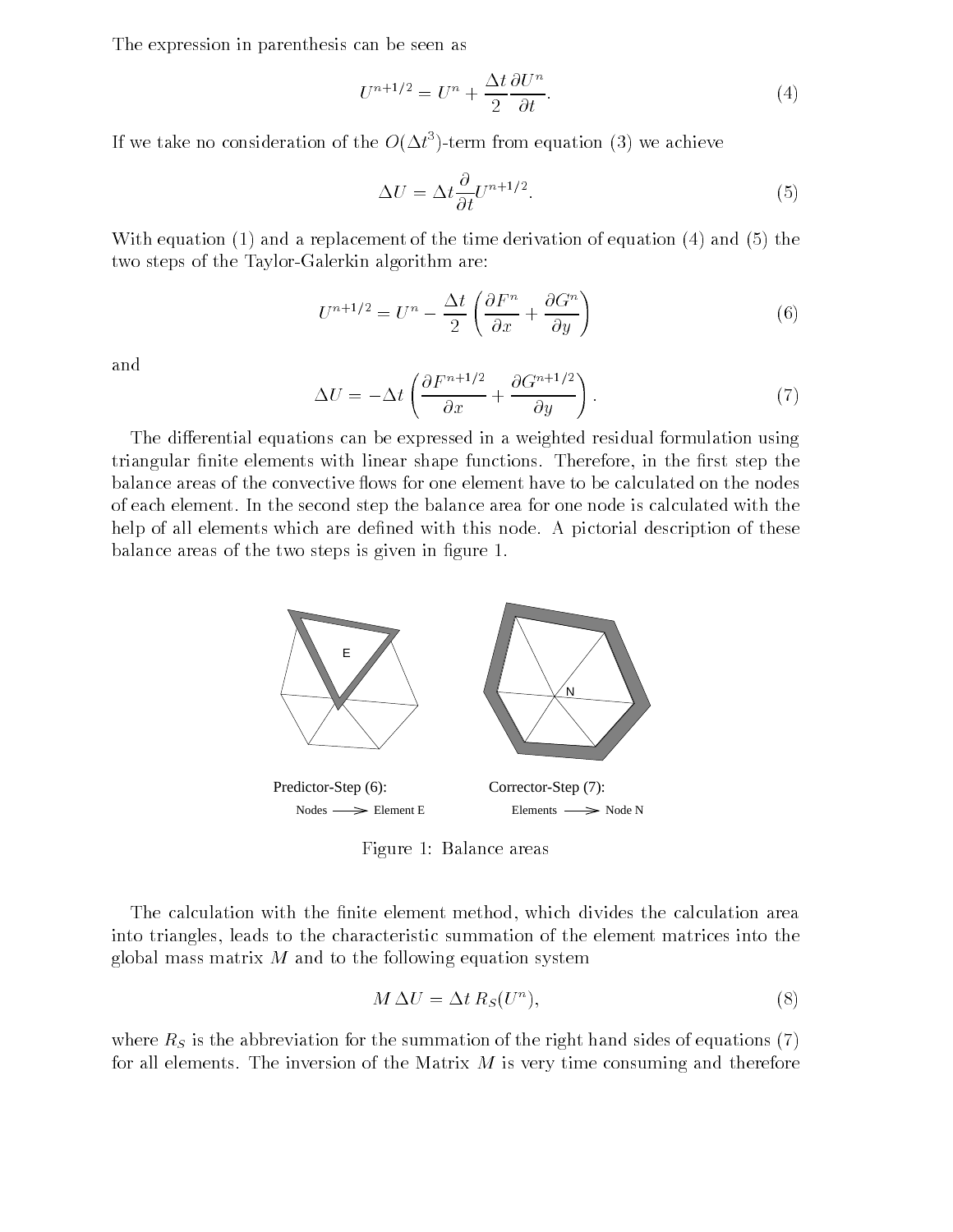The expression in parenthesis can be seen as

$$
U^{n+1/2} = U^n + \frac{\Delta t}{2} \frac{\partial U^n}{\partial t}.
$$
\n<sup>(4)</sup>

If we take no consideration of the  $O(\Delta t^{\ast})$ -term from equation (3) we achieve

$$
\Delta U = \Delta t \frac{\partial}{\partial t} U^{n+1/2}.
$$
\n(5)

With equation (1) and a replacement of the time derivation of equation  $(4)$  and  $(5)$  the two steps of the Taylor-Galerkin algorithm are:

$$
U^{n+1/2} = U^n - \frac{\Delta t}{2} \left( \frac{\partial F^n}{\partial x} + \frac{\partial G^n}{\partial y} \right) \tag{6}
$$

and

$$
\Delta U = -\Delta t \left( \frac{\partial F^{n+1/2}}{\partial x} + \frac{\partial G^{n+1/2}}{\partial y} \right). \tag{7}
$$

The differential equations can be expressed in a weighted residual formulation using triangular finite elements with linear shape functions. Therefore, in the first step the of each element In the second step the balance area for one node is calculated with the help of all elements which are defined with this node. A pictorial description of these balance areas of the two steps is given in figure 1.



Figure  Balance areas

The calculation with the finite element method, which divides the calculation area into triangles leads to the characteristic summation of the element matrices into the global mass matrix  $M$  and to the following equation system

$$
M \Delta U = \Delta t R_S(U^n), \tag{8}
$$

where  $R<sub>S</sub>$  is the abbreviation for the summation of the right hand sides of equations (7) for all elements. The inversion of the Matrix  $M$  is very time consuming and therefore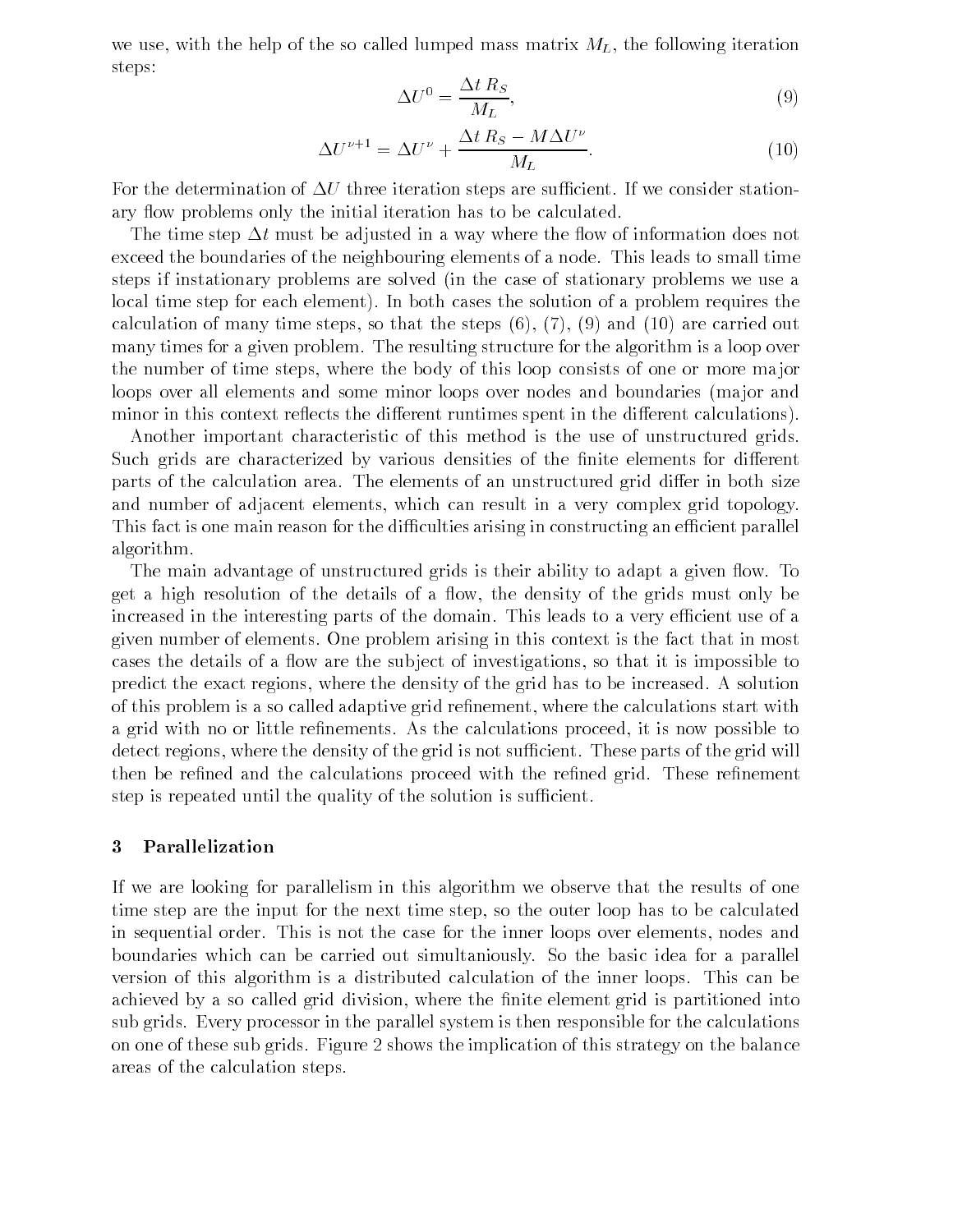we use, with the help of the so called lumped mass matrix  $M_L$ , the following iteration steps

$$
\Delta U^0 = \frac{\Delta t \, R_S}{M_L},\tag{9}
$$

$$
\Delta U^{\nu+1} = \Delta U^{\nu} + \frac{\Delta t R_S - M \Delta U^{\nu}}{M_L}.
$$
\n(10)

For the determination of  $\Delta U$  three iteration steps are sufficient. If we consider stationary - owner - owner - owner - owner - owner - owner - owner - owner - owner - owner - owner - owner - owner -

The time step  $\equiv$  time step as well in a way where  $\cdots$  and the step of information does not in exceed the boundaries of the neighbouring elements of a node. This leads to small time steps if instationary problems are solved in the case of stationary problems we use a local time step for each element). In both cases the solution of a problem requires the calculation of many time steps, so that the steps  $(6)$ ,  $(7)$ ,  $(9)$  and  $(10)$  are carried out many times for a given problem. The resulting structure for the algorithm is a loop over the number of time steps where the body of this loop consists of one or more ma jor loops over all elements and some minor loops over nodes and boundaries (major and minor in this context re-ects the di
erent runtimes spent in the di
erent calculations

Another important characteristic of this method is the use of unstructured grids Such grids are characterized by various densities of the finite elements for different parts of the calculation area. The elements of an unstructured grid differ in both size and number of adjacent elements, which can result in a very complex grid topology. This fact is one main reason for the difficulties arising in constructing an efficient parallel algorithm

The main advantage of unstructured grids is their ability to adapt a given -ow To get a might resolution of the details of a -policy the details of the grids must only of the increased in the interesting parts of the domain. This leads to a very efficient use of a given number of elements One problem arising in this context is the fact that in most cases the substitute of a - owner the substitute the substitute the substitute to the substitute to the substitu predict the exact regions where the density of the grid has to be increased A solution of this problem is a so called adaptive grid refinement, where the calculations start with a grid with no or little refinements. As the calculations proceed, it is now possible to detect regions, where the density of the grid is not sufficient. These parts of the grid will then be refined and the calculations proceed with the refined grid. These refinement step is repeated until the quality of the solution is sufficient.

#### -Parallelization

If we are looking for parallelism in this algorithm we observe that the results of one time step are the input for the next time step so the outer loop has to be calculated in sequential order. This is not the case for the inner loops over elements, nodes and boundaries which can be carried out simultaniously So the basic idea for a parallel version of this algorithm is a distributed calculation of the inner loops This can be achieved by a so called grid division, where the finite element grid is partitioned into sub grids Every processor in the parallel system is then responsible for the calculations on one of these sub grids. Figure 2 shows the implication of this strategy on the balance areas of the calculation steps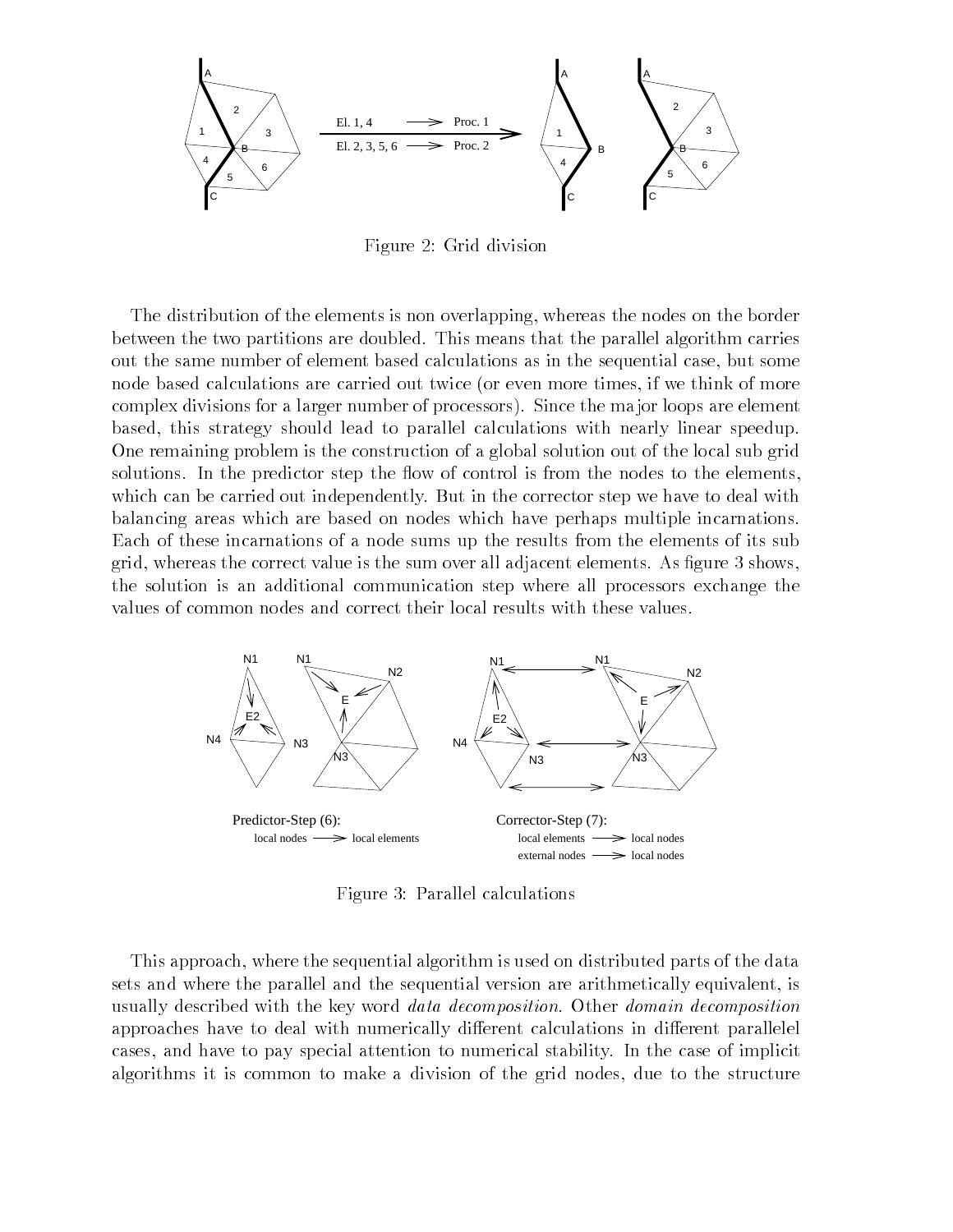

Figure Grid division

The distribution of the elements is non overlapping whereas the nodes on the border between the two partitions are doubled. This means that the parallel algorithm carries out the same number of element based calculations as in the sequential case, but some node based calculations are carried out twice (or even more times, if we think of more complex divisions for a larger number of processors). Since the major loops are element based, this strategy should lead to parallel calculations with nearly linear speedup. One remaining problem is the construction of a global solution out of the local sub grid solutions in the predictor step the indicated the control is from the step to the stephents, a which can be carried out independently. But in the corrector step we have to deal with balancing areas which are based on nodes which have perhaps multiple incarnations Each of these incarnations of a node sums up the results from the elements of its sub grid, whereas the correct value is the sum over all adjacent elements. As figure 3 shows, the solution is an additional communication step where all processors exchange the values of common nodes and correct their local results with these values



Figure Parallel calculations

This approach where the sequential algorithm is used on distributed parts of the data sets and where the parallel and the sequential version are arithmetically equivalent, is usually described with the key word *data decomposition*. Other *domain decomposition* approaches have to deal with numerically different calculations in different parallelel cases, and have to pay special attention to numerical stability. In the case of implicit algorithms it is common to make a division of the grid nodes, due to the structure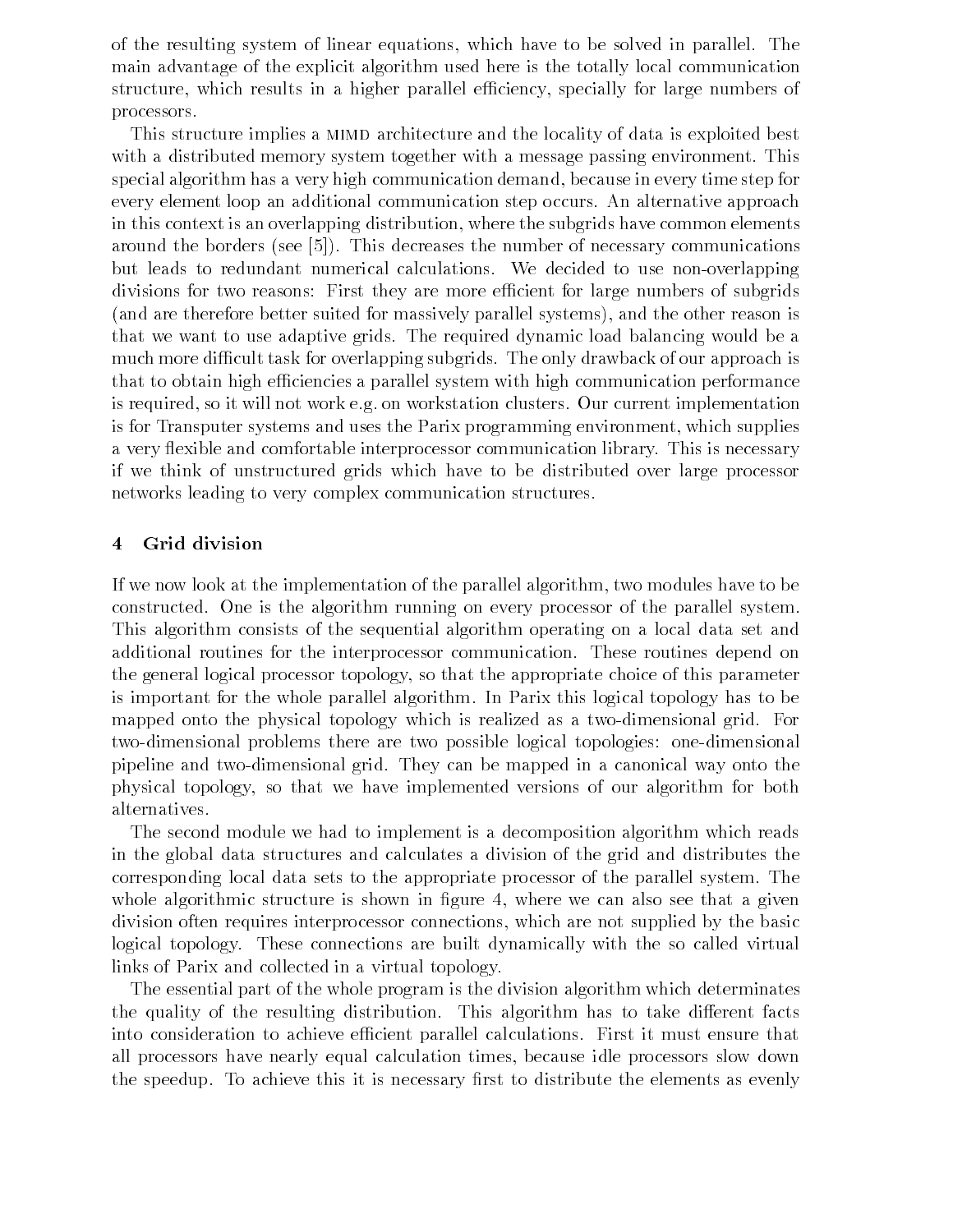of the resulting system of linear equations which have to be solved in parallel The main advantage of the explicit algorithm used here is the totally local communication structure, which results in a higher parallel efficiency, specially for large numbers of processors

This structure implies a mimd architecture and the locality of data is exploited best with a distributed memory system together with a message passing environment. This special algorithm has a very high communication demand, because in every time step for every element loop an additional communication step occurs An alternative approach in this context is an overlapping distribution, where the subgrids have common elements around the borders (see  $\lbrack 5 \rbrack$ ). This decreases the number of necessary communications but leads to redundant numerical calculations. We decided to use non-overlapping divisions for two reasons for the more more continuations for an areas are more are more than  $\Delta$ (and are therefore better suited for massively parallel systems), and the other reason is that we want to use adaptive grids The required dynamic load balancing would be a much more difficult task for overlapping subgrids. The only drawback of our approach is that to obtain high efficiencies a parallel system with high communication performance is required, so it will not work e.g. on workstation clusters. Our current implementation is for Transputer systems and uses the Parix programming environment which supplies a very -exible and comfortable interprocessor communication library This is necessary if we think of unstructured grids which have to be distributed over large processor networks leading to very complex communication structures

#### $\overline{4}$ Grid division

If we now look at the implementation of the parallel algorithm two modules have to be constructed. One is the algorithm running on every processor of the parallel system. This algorithm consists of the sequential algorithm operating on a local data set and additional routines for the interprocessor communication These routines depend on the general logical processor topology so that the appropriate choice of this parameter is important for the whole parallel algorithm. In Parix this logical topology has to be mapped onto the physical topology which is realized as a two-dimensional grid. For twodimensional problems there are two possible logical topologies onedimensional pipeline and twodimensional grid They can be mapped in a canonical way onto the physical topology so that we have implemented versions of our algorithm for both alternatives

The second module we had to implement is a decomposition algorithm which reads in the global data structures and calculates a division of the grid and distributes the corresponding local data sets to the appropriate processor of the parallel system The whole algorithmic structure is shown in figure 4, where we can also see that a given division often requires interprocessor connections, which are not supplied by the basic logical topology These connections are built dynamically with the so called virtual links of Parix and collected in a virtual topology

The essential part of the whole program is the division algorithm which determinates the quality of the resulting distribution. This algorithm has to take different facts into consideration to achieve efficient parallel calculations. First it must ensure that all processors have nearly equal calculation times because idle processors slow down the speedup. To achieve this it is necessary first to distribute the elements as evenly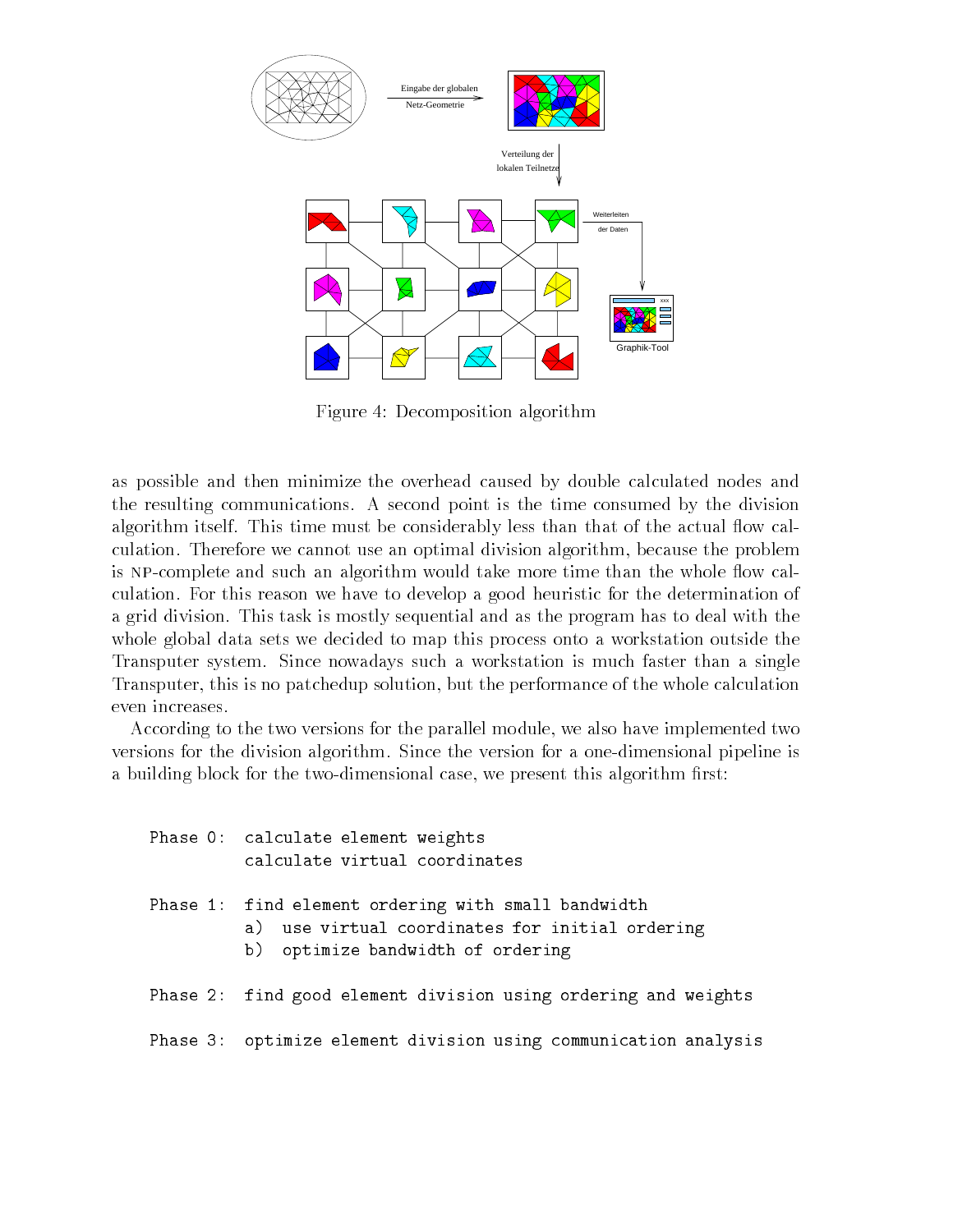

Figure Decomposition algorithm

as possible and then minimize the overhead caused by double calculated nodes and the resulting communications A second point is the time consumed by the division algorithm itself This time must be considered than that of the actual  $\mathcal{O}(\mathcal{M})$ culation. Therefore we cannot use an optimal division algorithm, because the problem is npcomplete and such an algorithm would take more time than the whole -ow cal culation For this reason we have to develop a good heuristic for the determination of a grid division This task is mostly sequential and as the program has to deal with the whole global data sets we decided to map this process onto a workstation outside the Transputer system. Since nowadays such a workstation is much faster than a single Transputer, this is no patchedup solution, but the performance of the whole calculation even increases

According to the two versions for the parallel module, we also have implemented two versions for the division algorithm. Since the version for a one-dimensional pipeline is a building block for the two-dimensional case, we present this algorithm first:

| Phase 0: calculate element weights<br>calculate virtual coordinates                                                                         |
|---------------------------------------------------------------------------------------------------------------------------------------------|
| Phase 1: find element ordering with small bandwidth<br>a) use virtual coordinates for initial ordering<br>b) optimize bandwidth of ordering |
| Phase 2: find good element division using ordering and weights                                                                              |
| Phase 3: optimize element division using communication analysis                                                                             |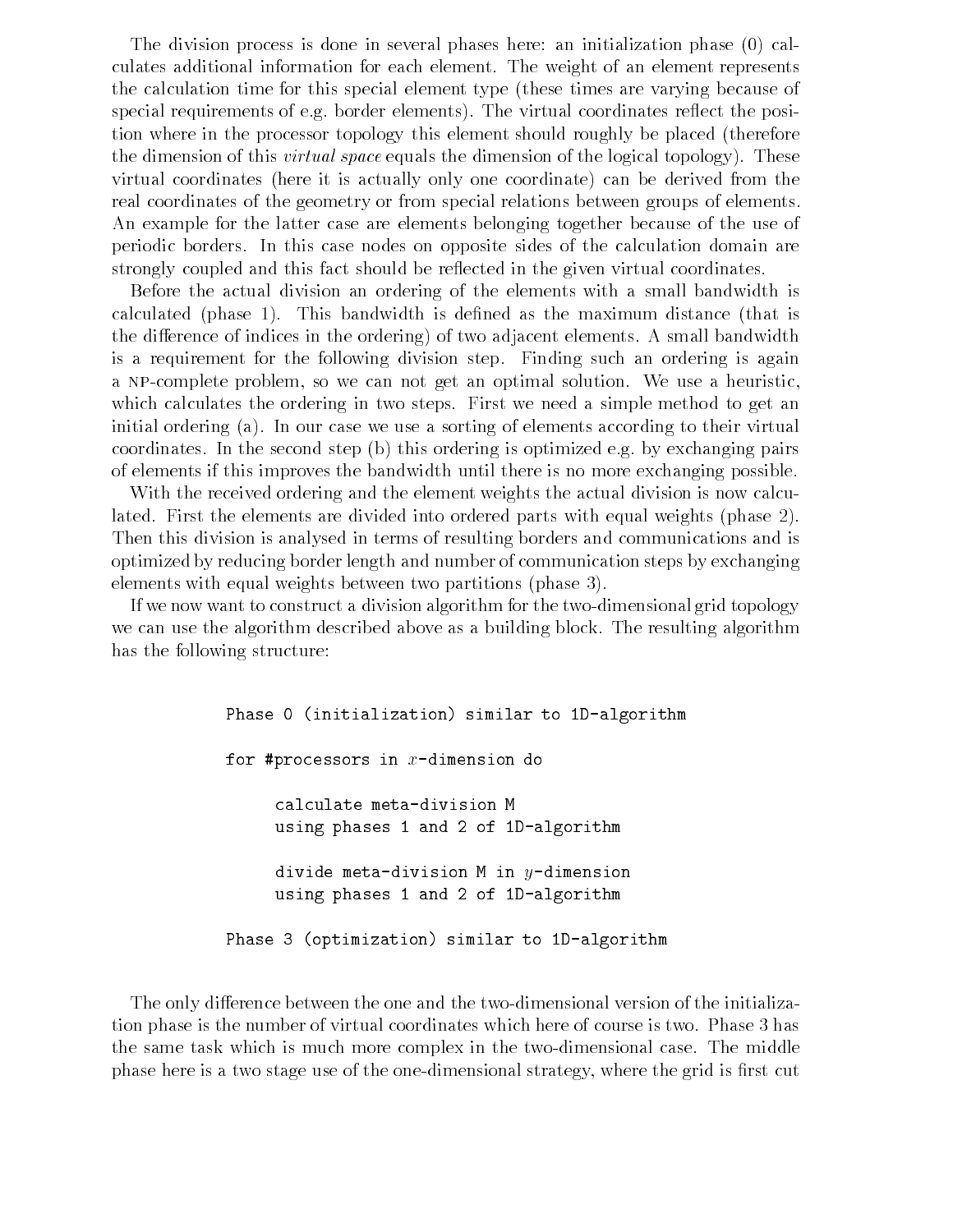The division process is done in several phases here an initialization phase cal culates additional information for each element The weight of an element represents the calculation time for this special element type (these times are varying because of special requirements of eg border elements The virtual coordinates re-ect the posi tion where in the processor topology this element should roughly be placed (therefore the dimension of this *virtual space* equals the dimension of the logical topology). These virtual coordinates (here it is actually only one coordinate) can be derived from the real coordinates of the geometry or from special relations between groups of elements An example for the latter case are elements belonging together because of the use of periodic borders In this case nodes on opposite sides of the calculation domain are strongly coupled and this fact should be re-ected in the given virtual coordinates

Before the actual division an ordering of the elements with a small bandwidth is calculated (phase 1). This bandwidth is defined as the maximum distance (that is the difference of indices in the ordering) of two adjacent elements. A small bandwidth is a requirement for the following division step Finding such an ordering is again a NP-complete problem, so we can not get an optimal solution. We use a heuristic, which calculates the ordering in two steps. First we need a simple method to get an initial ordering  $(a)$ . In our case we use a sorting of elements according to their virtual coordinates. In the second step  $(b)$  this ordering is optimized e.g. by exchanging pairs of elements if this improves the bandwidth until there is no more exchanging possible

With the received ordering and the element weights the actual division is now calcu lated. First the elements are divided into ordered parts with equal weights (phase 2). Then this division is analysed in terms of resulting borders and communications and is optimized by reducing border length and number of communication steps by exchanging elements with equal weights between two partitions (phase  $3$ ).

If we now want to construct a division algorithm for the two-dimensional grid topology we can use the algorithm described above as a building block The resulting algorithm has the following structure:

```
Phase  initialization similar to -
Dalgorithmfor processors in xdimension do
    calculate meta-division M
    using phases I and 2 of 1D algorithm
    divide metadivision M in ydimension
    using phases I and Z OI ID algorithm
Phase  optimization similar to -
Dalgorithm
```
The only difference between the one and the two-dimensional version of the initialization phase is the number of virtual coordinates which here of course is two. Phase 3 has the same task which is much more complex in the two-dimensional case. The middle phase here is a two stage use of the one-dimensional strategy, where the grid is first cut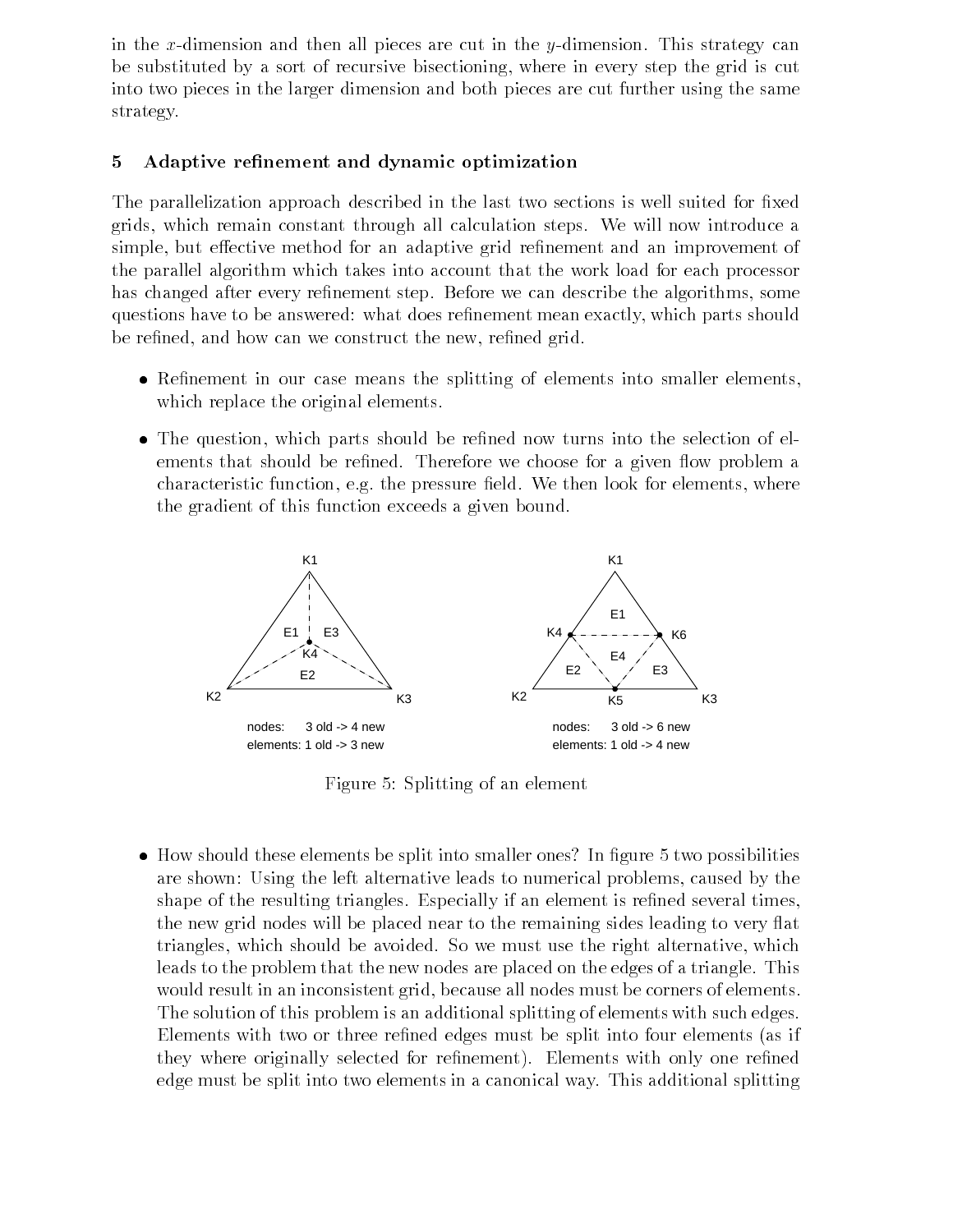in the x-dimension and then all pieces are cut in the y-dimension. This strategy can be substituted by a sort of recursive bisectioning where in every step the grid is cut into two pieces in the larger dimension and both pieces are cut further using the same strategy

## 5 Adaptive refinement and dynamic optimization

The parallelization approach described in the last two sections is well suited for fixed grids which remain constant through all calculation steps We will now introduce a simple, but effective method for an adaptive grid refinement and an improvement of the parallel algorithm which takes into account that the work load for each processor has changed after every refinement step. Before we can describe the algorithms, some questions have to be an interest which where the answered means and the couply which parts show that the complete be refined, and how can we construct the new, refined grid.

- Renement in our case means the splitting of elements into smaller elements which replace the original elements.
- The question which parts should be rened now turns into the selection of el ements that should be rened Therefore we choose for a given -ow problem a characteristic function, e.g. the pressure field. We then look for elements, where the gradient of this function exceeds a given bound



Figure Splitting of an element

 How should these elements be split into smaller ones In gure two possibilities are shown Using the left alternative leads to numerical problems caused by the shape of the resulting triangles. Especially if an element is refined several times, the new grid nodes will be placed near to the remaining sides leading sides leading to very -very -very -very -very -very -very -very -very -very -very -very -very -very -very -very -very -very -very -very -very -very -ve triangles, which should be avoided. So we must use the right alternative, which leads to the problem that the new nodes are placed on the edges of a triangle. This would result in an inconsistent grid, because all nodes must be corners of elements. The solution of this problem is an additional splitting of elements with such edges Elements with two or three refined edges must be split into four elements (as if they where originally selected for refinement). Elements with only one refined edge must be split into two elements in a canonical way This additional splitting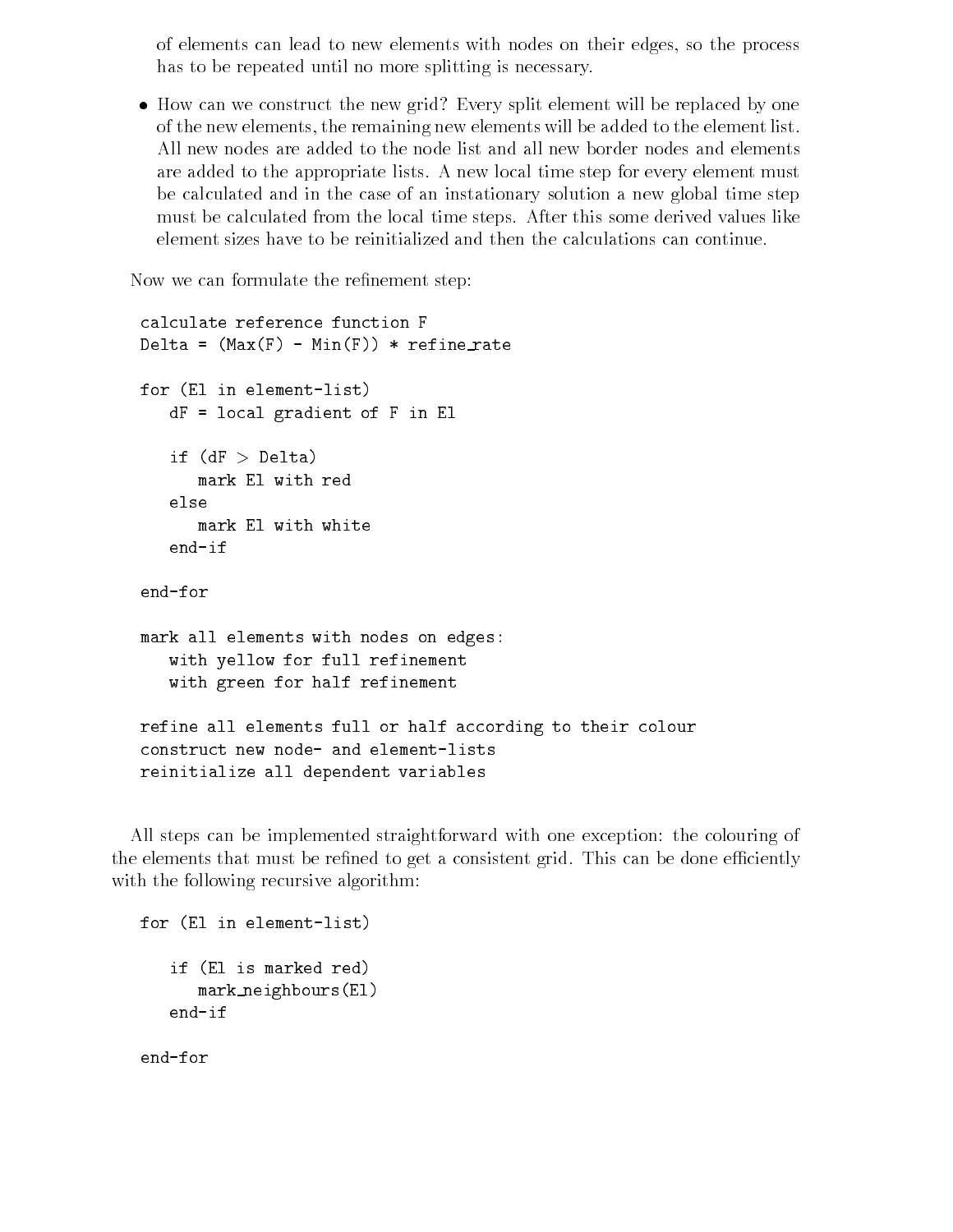of elements can lead to new elements with nodes on their edges, so the process has to be repeated until no more splitting is necessary.

 How can we construct the new grid Every split element will be replaced by one of the new elements, the remaining new elements will be added to the element list. All new nodes are added to the node list and all new border nodes and elements are added to the appropriate lists A new local time step for every element must be calculated and in the case of an instationary solution a new global time step must be calculated from the local time steps After this some derived values like element sizes have to be reinitialized and then the calculations can continue

Now we can formulate the refinement step:

```
calculate reference function F\mathsf{D}\mathsf{C}\mathsf{I}\cup\mathsf{C}\mathsf{I}\subset\mathsf{C} (fig. ) and \mathsf{I}\mathsf{I}\cup\mathsf{I}\cup\mathsf{C}\mathsf{I}\cup\mathsf{C}\mathsf{I}for (El in element-list)
   dF = local gradient of F in El
    if \alpha > Delta)
       mark El with redelse
    elsemark El with whiteend - ifend-for
mark all elements with nodes on edgeswith yellow for full refinementwith green for half refinementrefine all elements full or half according to their colourconstruct new node- and element-lists
reinitialize all dependent variables
```
All steps can be implemented straightforward with one exception the colouring of the elements that must be refined to get a consistent grid. This can be done efficiently with the following recursive algorithm:

```
for (E1 in element-list)
   if (El is marked red)
      mark neighboursElections
   end-if
end-for
```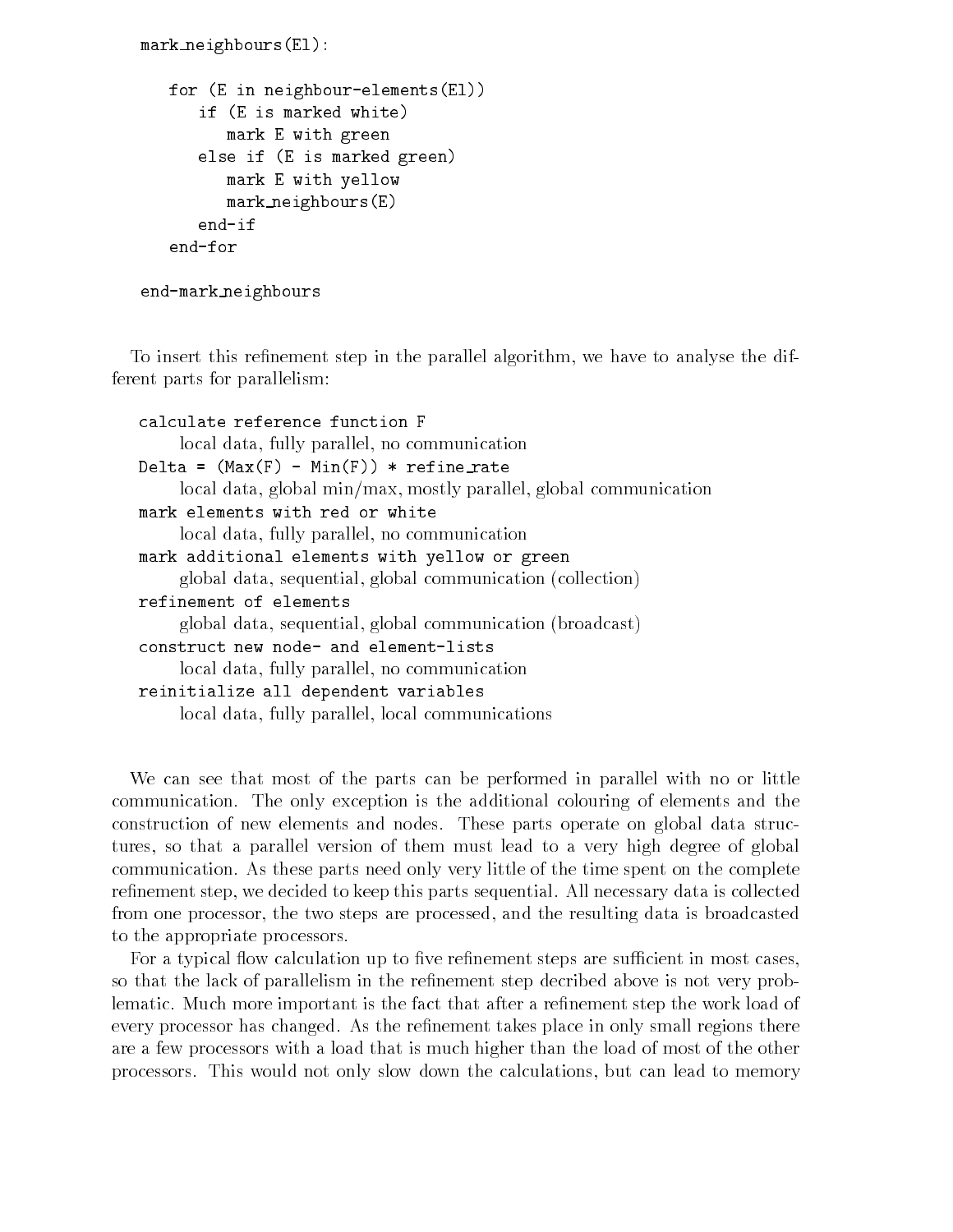```
mark neighboursEl
    for (E \text{ in } \text{neighbor-elements}(E1))if (E is marked white)
             mark E with greenelse if (E is marked green)
             mark E with yellowmark neighboursEnergy and the set of the set of the set of the set of the set of the set of the set of the set
         end-if
    end-for
```
endmark neighbours

To insert this refinement step in the parallel algorithm, we have to analyse the different parts for parallelism

```
calculate reference function Flocal data, fully parallel, no communication
Delta 	 MaxF  MinF 
 refine rate
    local data, global min/max, mostly parallel, global communicationmark elements with red or whitelocal data, fully parallel, no communication
mark additional elements with yellow or greenglobal data, sequential, global communication (collection)
refinement of elementsglobal data, sequential, global communication (broadcast)
construct new node- and element-lists
    local data, fully parallel, no communication
reinitialize all dependent variableslocal data, fully parallel, local communications
```
We can see that most of the parts can be performed in parallel with no or little communication. The only exception is the additional colouring of elements and the construction of new elements and nodes These parts operate on global data struc tures, so that a parallel version of them must lead to a very high degree of global communication As these parts need only very little of the time spent on the complete refinement step, we decided to keep this parts sequential. All necessary data is collected from one processor, the two steps are processed, and the resulting data is broadcasted to the appropriate processors

For a typical -ow calculation up to ve renement steps are sucient in most cases so that the lack of parallelism in the refinement step decribed above is not very problematic. Much more important is the fact that after a refinement step the work load of every processor has changed. As the refinement takes place in only small regions there are a few processors with a load that is much higher than the load of most of the other processors This would not only slow down the calculations but can lead to memory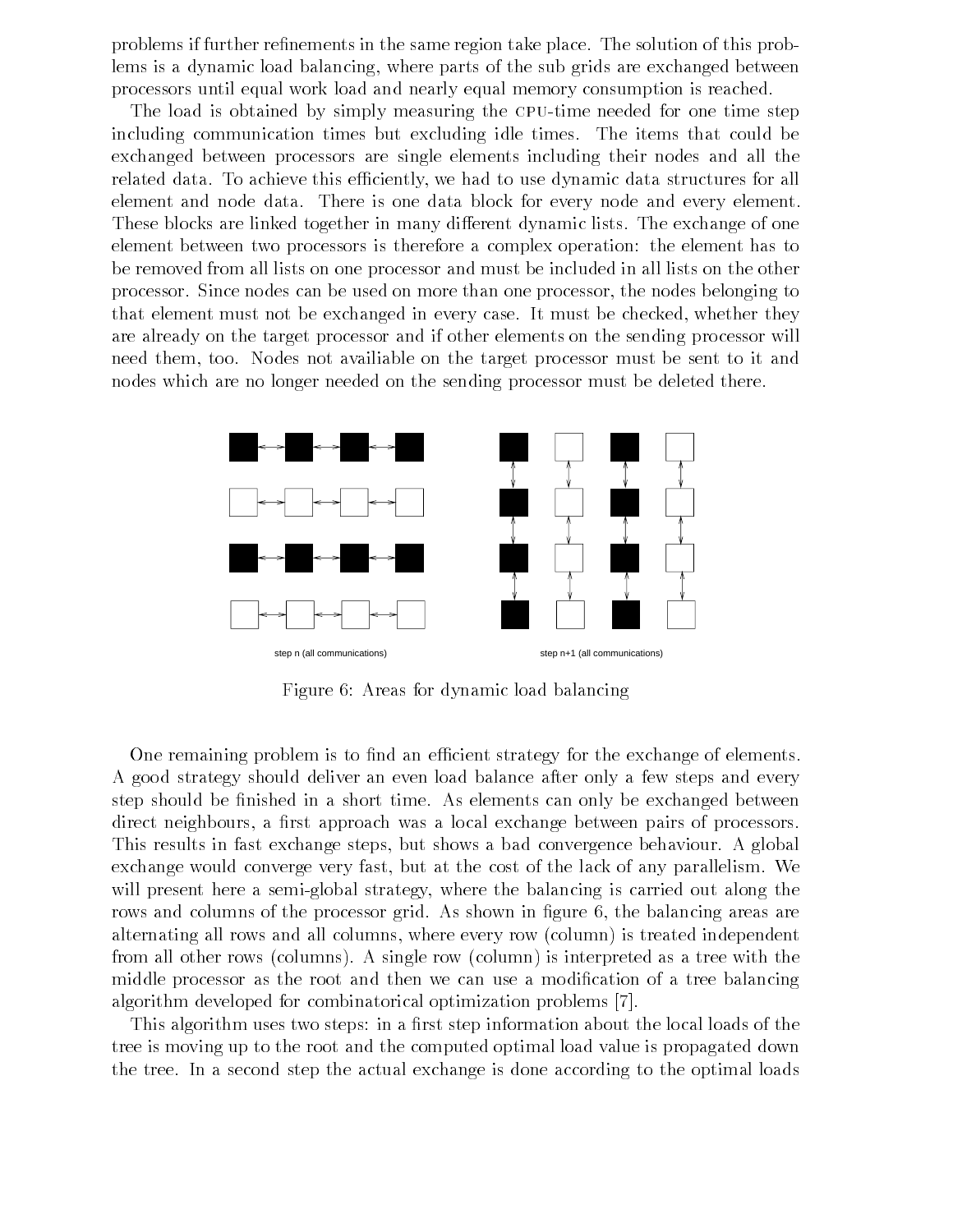problems if further refinements in the same region take place. The solution of this problems is a dynamic load balancing, where parts of the sub grids are exchanged between processors until equal work load and nearly equal memory consumption is reached

The load is obtained by simply measuring the CPU-time needed for one time step including communication times but excluding idle times The items that could be exchanged between processors are single elements including their nodes and all the related data. To achieve this efficiently, we had to use dynamic data structures for all element and node data. There is one data block for every node and every element. These blocks are linked together in many different dynamic lists. The exchange of one element between two processors is therefore a complex operation the element has to be removed from all lists on one processor and must be included in all lists on the other processor Since nodes can be used on more than one processor the nodes belonging to that element must not be exchanged in every case. It must be checked, whether they are already on the target processor and if other elements on the sending processor will need them, too. Nodes not availiable on the target processor must be sent to it and nodes which are no longer needed on the sending processor must be deleted there



Figure Areas for dynamic load balancing

One remaining problem is to find an efficient strategy for the exchange of elements. A good strategy should deliver an even load balance after only a few steps and every step should be finished in a short time. As elements can only be exchanged between direct neighbours, a first approach was a local exchange between pairs of processors. This results in fast exchange steps but shows a bad convergence behaviour A global exchange would converge very fast, but at the cost of the lack of any parallelism. We will present here a semi-global strategy, where the balancing is carried out along the rows and columns of the processor grid. As shown in figure 6, the balancing areas are alternating all rows and all columns, where every row (column) is treated independent from all other rows (columns). A single row (column) is interpreted as a tree with the middle processor as the root and then we can use a modification of a tree balancing algorithm developed for combinatorical optimization problems [7].

This algorithm uses two steps in a rst step information about the local loads of the tree is moving up to the root and the computed optimal load value is propagated down the tree In a second step the actual exchange is done according to the optimal loads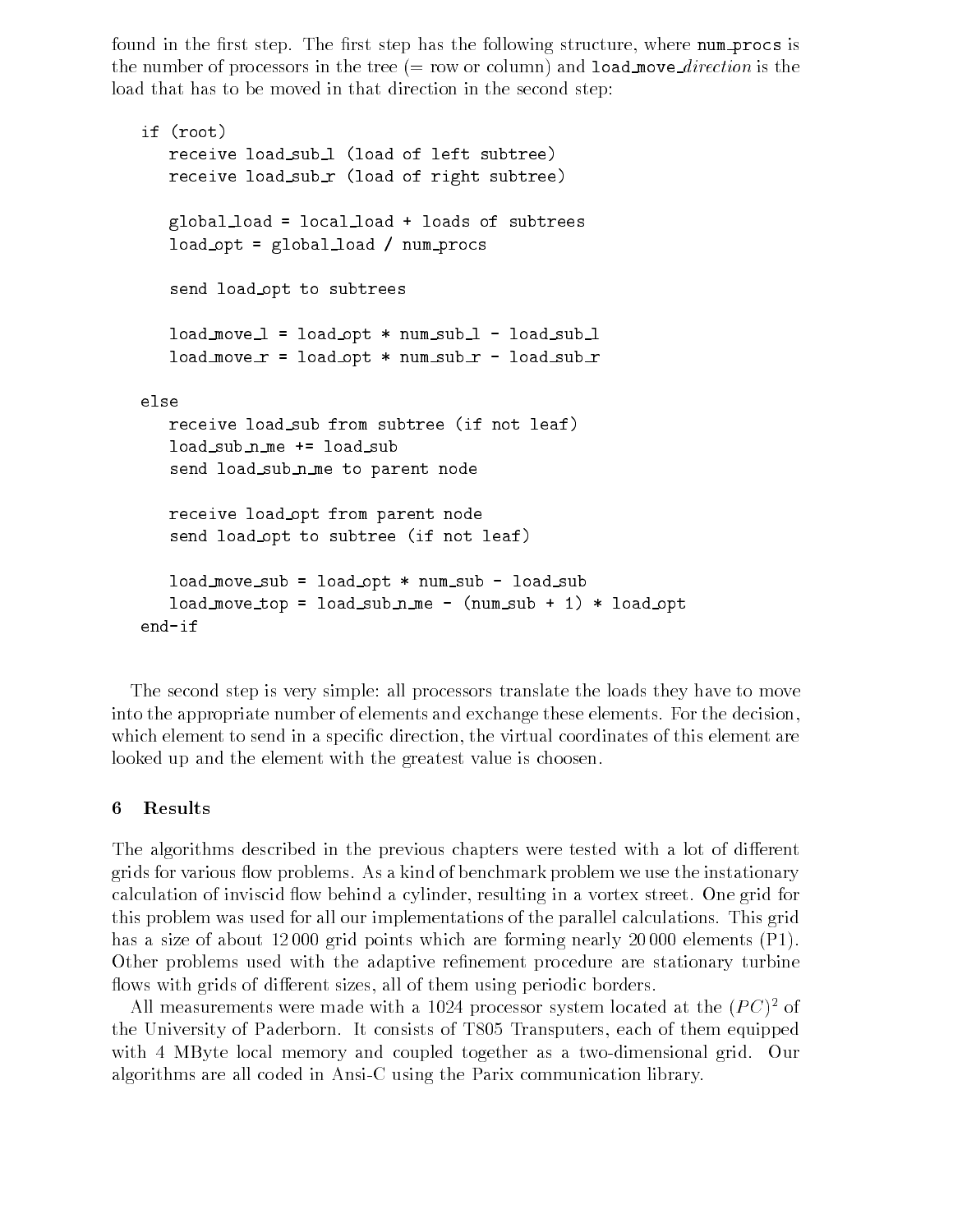found in the first step. The first step has the following structure, where num procs is the number of processors in the tree  $(= row or column)$  and load move *direction* is the load that has to be moved in that direction in the second step:

```
if (root)
   receive load sub l load of left subtree
   receive load sub r load of right subtree
   global load 	 local load  loads of subtrees
   load opt 	 global load  num procs
   send load opt to subtrees
   load move l 	 load opt 
 num sub l  load sub l
   load move r 	 load opt 
 num sub r  load sub r
elsereceive load sub from subtree if not leaf
   load sub n me 	 load sub
   send load sub n me to parent node
   receive load opt from parent node
   send load opt to subtree if not leaf
   load move sub 	 load opt 
 num sub  load sub
   load move top 	 load sub n me  num sub  -

 load opt
end-if
```
The second step is very simple all processors translate the loads they have to move into the appropriate number of elements and exchange these elements. For the decision, which element to send in a specific direction, the virtual coordinates of this element are looked up and the element with the greatest value is choosen.

#### 6 Results

The algorithms described in the previous chapters were tested with a lot of different  $\Omega$  a kind of benchmark problems As a kind of benchmark problem we use the instationary  $\Omega$ calculation of inviscid in a change resulting in a voltex street or a voltex street or a voltex stre this problem was used for all our implementations of the parallel calculations This grid has a size of about  $12000$  grid points which are forming nearly  $20000$  elements  $(P1)$ . Other problems used with the adaptive refinement procedure are stationary turbine -ows with grids of di
erent sizes all of them using periodic borders

All measurements were made with a 1024 processor system located at the  $( P \cup P )$  of the University of Paderborn. It consists of T805 Transputers, each of them equipped with 4 MByte local memory and coupled together as a two-dimensional grid. Our algorithms are all coded in AnsiC using the Parix communication library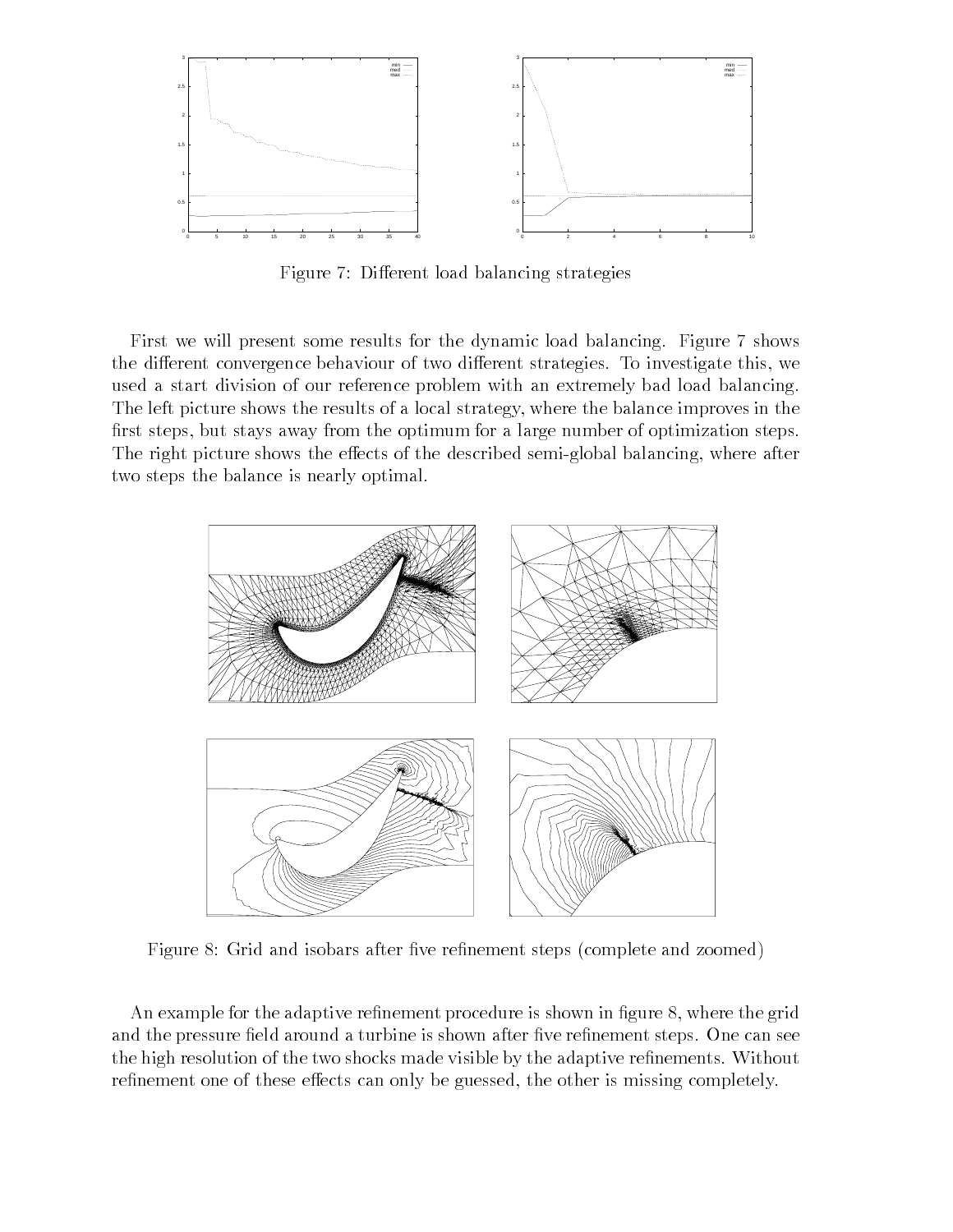

Figure Di
erent load balancing strategies

First we will present some results for the dynamic load balancing. Figure 7 shows the different convergence behaviour of two different strategies. To investigate this, we used a start division of our reference problem with an extremely bad load balancing The left picture shows the results of a local strategy where the balance improves in the first steps, but stays away from the optimum for a large number of optimization steps. The right picture shows the effects of the described semi-global balancing, where after two steps the balance is nearly optimal



Figure Grid and isobars after ve renement steps complete and zoomed

An example for the adaptive refinement procedure is shown in figure 8, where the grid and the pressure field around a turbine is shown after five refinement steps. One can see the high resolution of the two shocks made visible by the adaptive refinements. Without refinement one of these effects can only be guessed, the other is missing completely.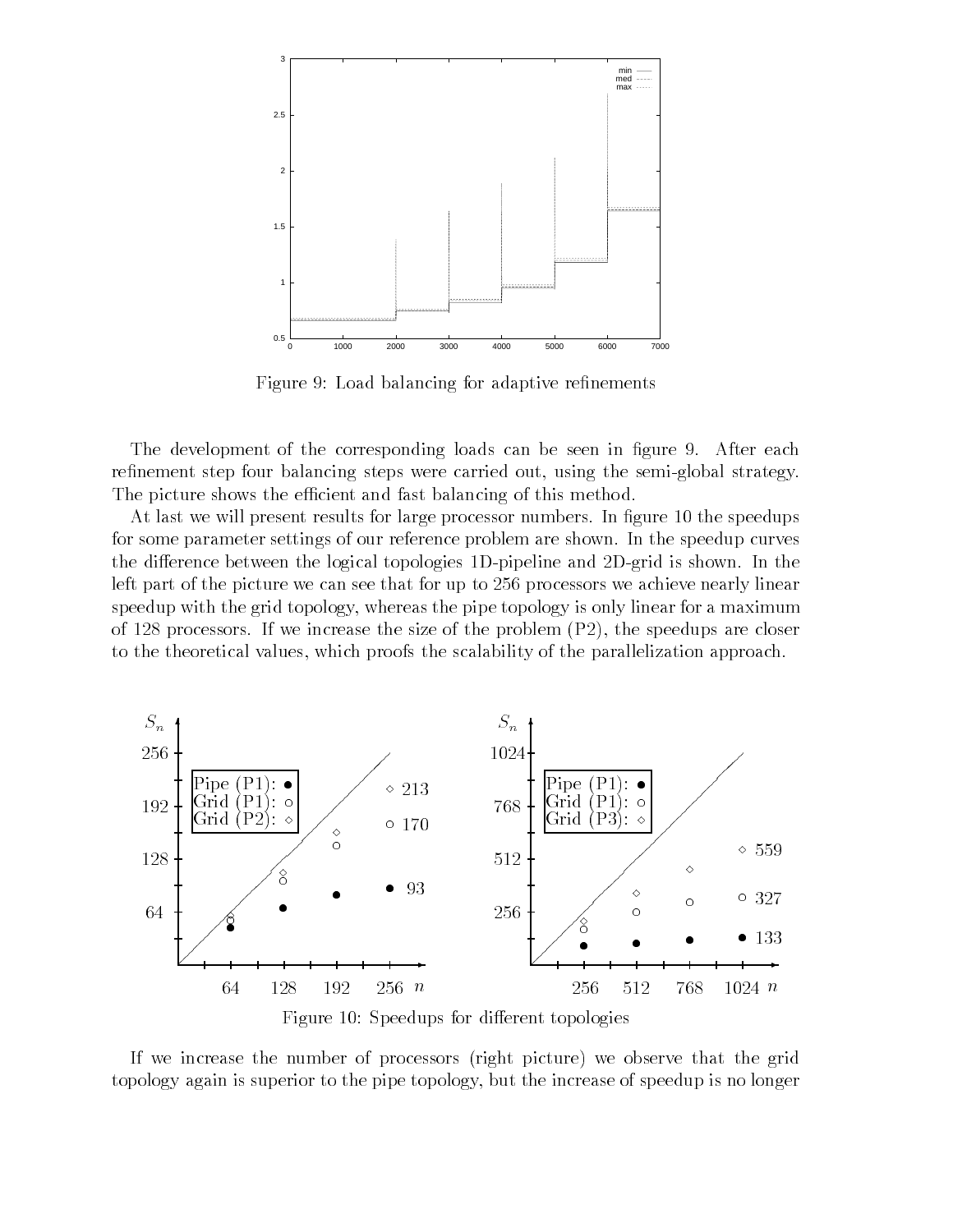

Figure Load balancing for adaptive renements

The development of the corresponding loads can be seen in figure 9. After each refinement step four balancing steps were carried out, using the semi-global strategy. The picture shows the efficient and fast balancing of this method.

At last we will present results for large processor numbers. In figure 10 the speedups for some parameter settings of our reference problem are shown. In the speedup curves the difference between the logical topologies 1D-pipeline and 2D-grid is shown. In the left part of the picture we can see that for up to  $256$  processors we achieve nearly linear speedup with the grid topology whereas the pipe topology is only linear for a maximum of 128 processors. If we increase the size of the problem  $(P2)$ , the speedups are closer to the theoretical values, which proofs the scalability of the parallelization approach.



Figure  Speedups for di
erent topologies

If we increase the number of processors (right picture) we observe that the grid topology again is superior to the pipe topology but the increase of speedup is no longer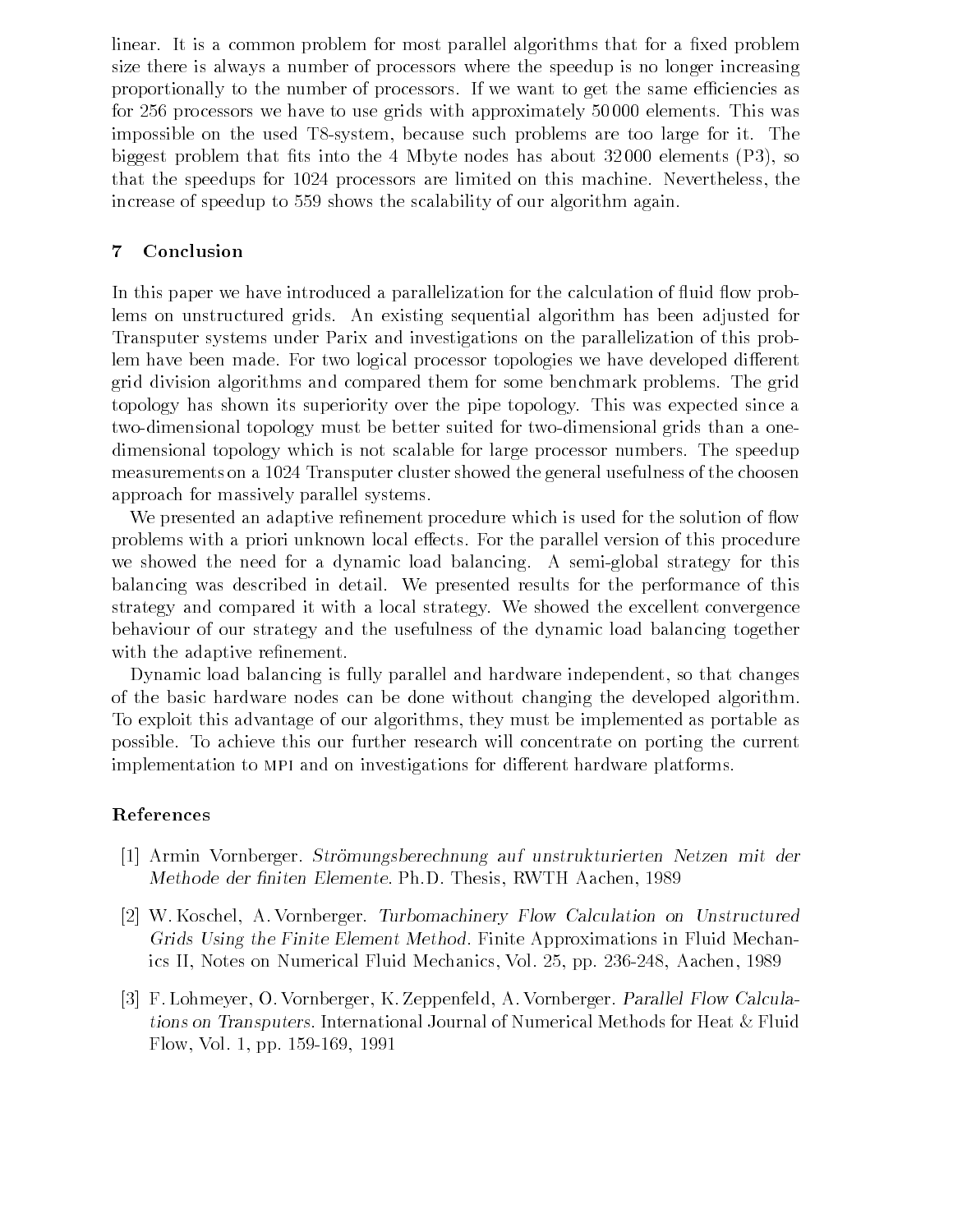linear. It is a common problem for most parallel algorithms that for a fixed problem size there is always a number of processors where the speedup is no longer increasing proportionally to the number of processors. If we want to get the same efficiencies as for  $256$  processors we have to use grids with approximately  $50000$  elements. This was impossible on the used T8-system, because such problems are too large for it. The biggest problem that fits into the 4 Mbyte nodes has about  $32000$  elements (P3), so that the speedups for  $1024$  processors are limited on this machine. Nevertheless, the increase of speedup to 559 shows the scalability of our algorithm again.

### Conclusion

In this paper we have introduced a parallelization for the calculation of -uid -ow prob lems on unstructured grids. An existing sequential algorithm has been adjusted for Transputer systems under Parix and investigations on the parallelization of this prob lem have been made. For two logical processor topologies we have developed different grid division algorithms and compared them for some benchmark problems The grid topology has shown its superiority over the pipe topology This was expected since a two-dimensional topology must be better suited for two-dimensional grids than a onedimensional topology which is not scalable for large processor numbers. The speedup measurements on a 1024 Transputer cluster showed the general usefulness of the choosen approach for massively parallel systems

We presented an adaptive renement procedure which is used for the solution of -ow problems with a priori unknown local effects. For the parallel version of this procedure we showed the need for a dynamic load balancing. A semi-global strategy for this balancing was described in detail We presented results for the performance of this strategy and compared it with a local strategy. We showed the excellent convergence behaviour of our strategy and the usefulness of the dynamic load balancing together with the adaptive refinement.

Dynamic load balancing is fully parallel and hardware independent, so that changes of the basic hardware nodes can be done without changing the developed algorithm To exploit this advantage of our algorithms they must be implemented as portable as possible To achieve this our further research will concentrate on porting the current implementation to MPI and on investigations for different hardware platforms.

### References

- Armin Vornberger Stromungsberechnung auf unstrukturierten Netzen mit der Methode der finiten Elemente. Ph.D. Thesis, RWTH Aachen, 1989
- [2] W. Koschel, A. Vornberger. Turbomachinery Flow Calculation on Unstructured Grids Using the Finite Element Method. Finite Approximations in Fluid Mechanics II, Notes on Numerical Fluid Mechanics, Vol. 25, pp. 236-248, Aachen, 1989
- [3] F. Lohmeyer, O. Vornberger, K. Zeppenfeld, A. Vornberger. Parallel Flow Calculations on Transputers. International Journal of Numerical Methods for Heat & Fluid Flow, Vol. 1, pp.  $159-169$ , 1991